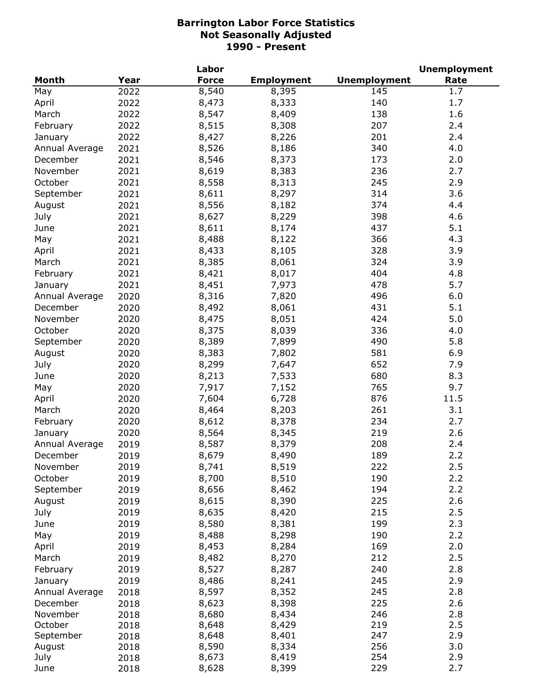|                |      | Labor        |                   |                     | <b>Unemployment</b> |
|----------------|------|--------------|-------------------|---------------------|---------------------|
| Month          | Year | <b>Force</b> | <b>Employment</b> | <b>Unemployment</b> | Rate                |
| May            | 2022 | 8,540        | 8,395             | 145                 | 1.7                 |
| April          | 2022 | 8,473        | 8,333             | 140                 | 1.7                 |
| March          | 2022 | 8,547        | 8,409             | 138                 | 1.6                 |
| February       | 2022 | 8,515        | 8,308             | 207                 | 2.4                 |
| January        | 2022 | 8,427        | 8,226             | 201                 | 2.4                 |
| Annual Average | 2021 | 8,526        | 8,186             | 340                 | 4.0                 |
| December       | 2021 | 8,546        | 8,373             | 173                 | 2.0                 |
| November       | 2021 | 8,619        | 8,383             | 236                 | 2.7                 |
| October        | 2021 | 8,558        | 8,313             | 245                 | 2.9                 |
| September      | 2021 | 8,611        | 8,297             | 314                 | 3.6                 |
| August         | 2021 | 8,556        | 8,182             | 374                 | 4.4                 |
| July           | 2021 | 8,627        | 8,229             | 398                 | 4.6                 |
| June           | 2021 | 8,611        | 8,174             | 437                 | 5.1                 |
|                |      | 8,488        | 8,122             | 366                 | 4.3                 |
| May            | 2021 |              |                   |                     |                     |
| April          | 2021 | 8,433        | 8,105             | 328                 | 3.9                 |
| March          | 2021 | 8,385        | 8,061             | 324                 | 3.9                 |
| February       | 2021 | 8,421        | 8,017             | 404                 | 4.8                 |
| January        | 2021 | 8,451        | 7,973             | 478                 | 5.7                 |
| Annual Average | 2020 | 8,316        | 7,820             | 496                 | 6.0                 |
| December       | 2020 | 8,492        | 8,061             | 431                 | 5.1                 |
| November       | 2020 | 8,475        | 8,051             | 424                 | 5.0                 |
| October        | 2020 | 8,375        | 8,039             | 336                 | 4.0                 |
| September      | 2020 | 8,389        | 7,899             | 490                 | 5.8                 |
| August         | 2020 | 8,383        | 7,802             | 581                 | 6.9                 |
| July           | 2020 | 8,299        | 7,647             | 652                 | 7.9                 |
| June           | 2020 | 8,213        | 7,533             | 680                 | 8.3                 |
| May            | 2020 | 7,917        | 7,152             | 765                 | 9.7                 |
| April          | 2020 | 7,604        | 6,728             | 876                 | 11.5                |
| March          | 2020 | 8,464        | 8,203             | 261                 | 3.1                 |
| February       | 2020 | 8,612        | 8,378             | 234                 | 2.7                 |
| January        | 2020 | 8,564        | 8,345             | 219                 | 2.6                 |
| Annual Average | 2019 | 8,587        | 8,379             | 208                 | 2.4                 |
| December       | 2019 | 8,679        | 8,490             | 189                 | 2.2                 |
| November       | 2019 | 8,741        | 8,519             | 222                 | 2.5                 |
| October        | 2019 | 8,700        | 8,510             | 190                 | 2.2                 |
| September      | 2019 | 8,656        | 8,462             | 194                 | 2.2                 |
| August         | 2019 | 8,615        | 8,390             | 225                 | 2.6                 |
| July           | 2019 | 8,635        | 8,420             | 215                 | 2.5                 |
| June           | 2019 | 8,580        | 8,381             | 199                 | 2.3                 |
| May            | 2019 | 8,488        | 8,298             | 190                 | 2.2                 |
| April          | 2019 | 8,453        | 8,284             | 169                 | 2.0                 |
| March          | 2019 | 8,482        | 8,270             | 212                 | 2.5                 |
| February       | 2019 | 8,527        | 8,287             | 240                 | 2.8                 |
| January        | 2019 | 8,486        | 8,241             | 245                 | 2.9                 |
| Annual Average | 2018 | 8,597        | 8,352             | 245                 | 2.8                 |
| December       | 2018 | 8,623        | 8,398             | 225                 | 2.6                 |
| November       | 2018 | 8,680        | 8,434             | 246                 | 2.8                 |
| October        | 2018 | 8,648        | 8,429             | 219                 | 2.5                 |
| September      | 2018 | 8,648        | 8,401             | 247                 | 2.9                 |
| August         | 2018 | 8,590        | 8,334             | 256                 | 3.0                 |
| July           | 2018 | 8,673        | 8,419             | 254                 | 2.9                 |
| June           | 2018 | 8,628        | 8,399             | 229                 | 2.7                 |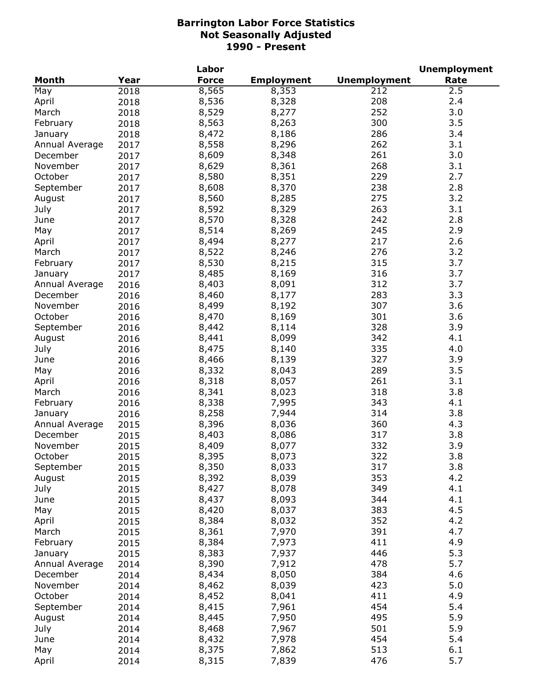|                |      | Labor        |                   |                     | <b>Unemployment</b> |
|----------------|------|--------------|-------------------|---------------------|---------------------|
| <b>Month</b>   | Year | <b>Force</b> | <b>Employment</b> | <b>Unemployment</b> | Rate                |
| May            | 2018 | 8,565        | 8,353             | 212                 | 2.5                 |
| April          | 2018 | 8,536        | 8,328             | 208                 | 2.4                 |
| March          | 2018 | 8,529        | 8,277             | 252                 | 3.0                 |
| February       | 2018 | 8,563        | 8,263             | 300                 | 3.5                 |
| January        | 2018 | 8,472        | 8,186             | 286                 | 3.4                 |
| Annual Average | 2017 | 8,558        | 8,296             | 262                 | 3.1                 |
| December       | 2017 | 8,609        | 8,348             | 261                 | 3.0                 |
| November       | 2017 | 8,629        | 8,361             | 268                 | 3.1                 |
| October        | 2017 | 8,580        | 8,351             | 229                 | 2.7                 |
|                |      | 8,608        | 8,370             | 238                 | 2.8                 |
| September      | 2017 |              |                   | 275                 | 3.2                 |
| August         | 2017 | 8,560        | 8,285             |                     |                     |
| July           | 2017 | 8,592        | 8,329             | 263                 | 3.1                 |
| June           | 2017 | 8,570        | 8,328             | 242                 | 2.8                 |
| May            | 2017 | 8,514        | 8,269             | 245                 | 2.9                 |
| April          | 2017 | 8,494        | 8,277             | 217                 | 2.6                 |
| March          | 2017 | 8,522        | 8,246             | 276                 | 3.2                 |
| February       | 2017 | 8,530        | 8,215             | 315                 | 3.7                 |
| January        | 2017 | 8,485        | 8,169             | 316                 | 3.7                 |
| Annual Average | 2016 | 8,403        | 8,091             | 312                 | 3.7                 |
| December       | 2016 | 8,460        | 8,177             | 283                 | 3.3                 |
| November       | 2016 | 8,499        | 8,192             | 307                 | 3.6                 |
| October        | 2016 | 8,470        | 8,169             | 301                 | 3.6                 |
| September      | 2016 | 8,442        | 8,114             | 328                 | 3.9                 |
| August         | 2016 | 8,441        | 8,099             | 342                 | 4.1                 |
| July           | 2016 | 8,475        | 8,140             | 335                 | 4.0                 |
| June           | 2016 | 8,466        | 8,139             | 327                 | 3.9                 |
| May            | 2016 | 8,332        | 8,043             | 289                 | 3.5                 |
| April          | 2016 | 8,318        | 8,057             | 261                 | 3.1                 |
| March          | 2016 | 8,341        | 8,023             | 318                 | 3.8                 |
| February       | 2016 | 8,338        | 7,995             | 343                 | 4.1                 |
| January        | 2016 | 8,258        | 7,944             | 314                 | 3.8                 |
| Annual Average | 2015 | 8,396        | 8,036             | 360                 | 4.3                 |
| December       | 2015 | 8,403        | 8,086             | 317                 | 3.8                 |
| November       | 2015 | 8,409        | 8,077             | 332                 | 3.9                 |
| October        | 2015 | 8,395        | 8,073             | 322                 | 3.8                 |
| September      | 2015 | 8,350        | 8,033             | 317                 | 3.8                 |
| August         | 2015 | 8,392        | 8,039             | 353                 | 4.2                 |
| July           | 2015 | 8,427        | 8,078             | 349                 | 4.1                 |
| June           | 2015 | 8,437        | 8,093             | 344                 | 4.1                 |
| May            | 2015 | 8,420        | 8,037             | 383                 | 4.5                 |
| April          | 2015 | 8,384        | 8,032             | 352                 | 4.2                 |
| March          |      | 8,361        | 7,970             | 391                 | 4.7                 |
|                | 2015 |              |                   | 411                 | 4.9                 |
| February       | 2015 | 8,384        | 7,973             |                     |                     |
| January        | 2015 | 8,383        | 7,937             | 446                 | 5.3                 |
| Annual Average | 2014 | 8,390        | 7,912             | 478                 | 5.7                 |
| December       | 2014 | 8,434        | 8,050             | 384                 | 4.6                 |
| November       | 2014 | 8,462        | 8,039             | 423                 | 5.0                 |
| October        | 2014 | 8,452        | 8,041             | 411                 | 4.9                 |
| September      | 2014 | 8,415        | 7,961             | 454                 | 5.4                 |
| August         | 2014 | 8,445        | 7,950             | 495                 | 5.9                 |
| July           | 2014 | 8,468        | 7,967             | 501                 | 5.9                 |
| June           | 2014 | 8,432        | 7,978             | 454                 | 5.4                 |
| May            | 2014 | 8,375        | 7,862             | 513                 | 6.1                 |
| April          | 2014 | 8,315        | 7,839             | 476                 | 5.7                 |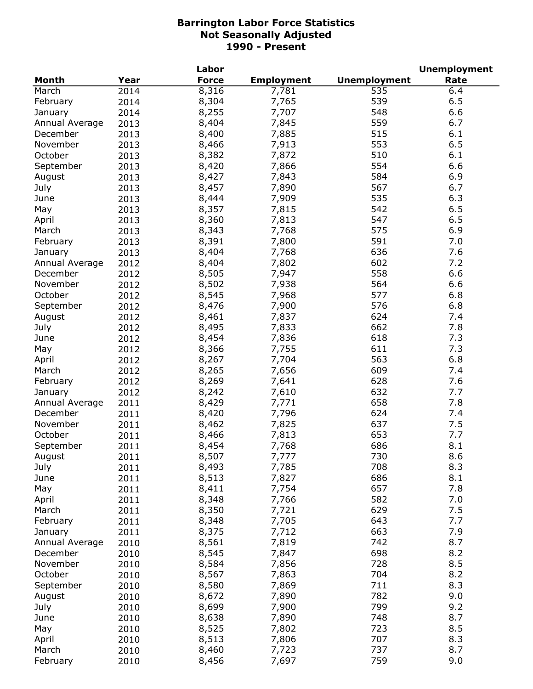| <b>Unemployment</b><br><b>Month</b><br>Year<br><b>Force</b><br><b>Employment</b><br>Rate<br>8,316<br>6.4<br>March<br>7,781<br>535<br>2014<br>539<br>6.5<br>8,304<br>7,765<br>February<br>2014<br>548<br>6.6<br>8,255<br>7,707<br>January<br>2014<br>559<br>8,404<br>7,845<br>6.7<br>Annual Average<br>2013<br>515<br>8,400<br>7,885<br>6.1<br>December<br>2013<br>553<br>6.5<br>8,466<br>7,913<br>November<br>2013<br>510<br>6.1<br>October<br>8,382<br>7,872<br>2013<br>8,420<br>7,866<br>554<br>6.6<br>September<br>2013<br>8,427<br>584<br>6.9<br>7,843<br>2013<br>August<br>8,457<br>7,890<br>567<br>July<br>6.7<br>2013<br>8,444<br>7,909<br>535<br>6.3<br>June<br>2013<br>8,357<br>7,815<br>542<br>6.5<br>May<br>2013<br>6.5<br>8,360<br>7,813<br>547<br>2013<br>April<br>8,343<br>7,768<br>575<br>6.9<br>March<br>2013<br>8,391<br>7,800<br>591<br>7.0<br>February<br>2013<br>8,404<br>7,768<br>636<br>7.6<br>2013<br>January<br>602<br>8,404<br>7,802<br>7.2<br>Annual Average<br>2012<br>6.6<br>558<br>December<br>8,505<br>7,947<br>2012<br>564<br>6.6<br>November<br>8,502<br>7,938<br>2012<br>577<br>6.8<br>October<br>8,545<br>7,968<br>2012<br>576<br>6.8<br>8,476<br>7,900<br>September<br>2012<br>7,837<br>624<br>8,461<br>7.4<br>August<br>2012<br>662<br>8,495<br>7,833<br>7.8<br>July<br>2012<br>7,836<br>618<br>8,454<br>7.3<br>June<br>2012<br>8,366<br>7,755<br>611<br>7.3<br>May<br>2012<br>7,704<br>563<br>6.8<br>8,267<br>April<br>2012<br>8,265<br>7,656<br>609<br>7.4<br>March<br>2012<br>8,269<br>7,641<br>628<br>7.6<br>February<br>2012<br>8,242<br>7,610<br>632<br>7.7<br>2012<br>January<br>7.8<br>7,771<br>658<br>8,429<br>Annual Average<br>2011<br>7,796<br>624<br>7.4<br>December<br>8,420<br>2011<br>7,825<br>637<br>7.5<br>November<br>8,462<br>2011<br>653<br>7.7<br>October<br>8,466<br>7,813<br>2011<br>686<br>8.1<br>September<br>8,454<br>7,768<br>2011<br>8.6<br>730<br>August<br>2011<br>8,507<br>7,777<br>708<br>8.3<br>8,493<br>7,785<br>July<br>2011<br>686<br>8,513<br>7,827<br>8.1<br>June<br>2011<br>657<br>8,411<br>7,754<br>7.8<br>May<br>2011<br>582<br>8,348<br>7,766<br>7.0<br>April<br>2011<br>629<br>8,350<br>7,721<br>7.5<br>March<br>2011<br>7,705<br>643<br>7.7<br>8,348<br>February<br>2011<br>663<br>7.9<br>8,375<br>7,712<br>2011<br>January<br>7,819<br>742<br>8.7<br>8,561<br>Annual Average<br>2010<br>8,545<br>7,847<br>698<br>8.2<br>December<br>2010<br>8.5<br>8,584<br>7,856<br>728<br>November<br>2010<br>8,567<br>7,863<br>704<br>October<br>8.2<br>2010<br>8,580<br>7,869<br>711<br>8.3<br>September<br>2010<br>7,890<br>782<br>9.0<br>8,672<br>August<br>2010<br>7,900<br>799<br>9.2<br>July<br>8,699<br>2010<br>748<br>8.7<br>8,638<br>7,890<br>2010<br>June<br>723<br>8.5<br>8,525<br>7,802<br>May<br>2010<br>707<br>8.3<br>8,513<br>7,806<br>April<br>2010<br>737<br>8.7<br>8,460<br>March<br>7,723<br>2010 |          |      | Labor |       |     | <b>Unemployment</b> |
|-------------------------------------------------------------------------------------------------------------------------------------------------------------------------------------------------------------------------------------------------------------------------------------------------------------------------------------------------------------------------------------------------------------------------------------------------------------------------------------------------------------------------------------------------------------------------------------------------------------------------------------------------------------------------------------------------------------------------------------------------------------------------------------------------------------------------------------------------------------------------------------------------------------------------------------------------------------------------------------------------------------------------------------------------------------------------------------------------------------------------------------------------------------------------------------------------------------------------------------------------------------------------------------------------------------------------------------------------------------------------------------------------------------------------------------------------------------------------------------------------------------------------------------------------------------------------------------------------------------------------------------------------------------------------------------------------------------------------------------------------------------------------------------------------------------------------------------------------------------------------------------------------------------------------------------------------------------------------------------------------------------------------------------------------------------------------------------------------------------------------------------------------------------------------------------------------------------------------------------------------------------------------------------------------------------------------------------------------------------------------------------------------------------------------------------------------------------------------------------------------------------------------------------------------------------------------------------------------------------------------------------------------------------------------------------------------------------------------------------------------------------------------------------------------------------------------------------------------------------------------------------------|----------|------|-------|-------|-----|---------------------|
|                                                                                                                                                                                                                                                                                                                                                                                                                                                                                                                                                                                                                                                                                                                                                                                                                                                                                                                                                                                                                                                                                                                                                                                                                                                                                                                                                                                                                                                                                                                                                                                                                                                                                                                                                                                                                                                                                                                                                                                                                                                                                                                                                                                                                                                                                                                                                                                                                                                                                                                                                                                                                                                                                                                                                                                                                                                                                           |          |      |       |       |     |                     |
|                                                                                                                                                                                                                                                                                                                                                                                                                                                                                                                                                                                                                                                                                                                                                                                                                                                                                                                                                                                                                                                                                                                                                                                                                                                                                                                                                                                                                                                                                                                                                                                                                                                                                                                                                                                                                                                                                                                                                                                                                                                                                                                                                                                                                                                                                                                                                                                                                                                                                                                                                                                                                                                                                                                                                                                                                                                                                           |          |      |       |       |     |                     |
|                                                                                                                                                                                                                                                                                                                                                                                                                                                                                                                                                                                                                                                                                                                                                                                                                                                                                                                                                                                                                                                                                                                                                                                                                                                                                                                                                                                                                                                                                                                                                                                                                                                                                                                                                                                                                                                                                                                                                                                                                                                                                                                                                                                                                                                                                                                                                                                                                                                                                                                                                                                                                                                                                                                                                                                                                                                                                           |          |      |       |       |     |                     |
|                                                                                                                                                                                                                                                                                                                                                                                                                                                                                                                                                                                                                                                                                                                                                                                                                                                                                                                                                                                                                                                                                                                                                                                                                                                                                                                                                                                                                                                                                                                                                                                                                                                                                                                                                                                                                                                                                                                                                                                                                                                                                                                                                                                                                                                                                                                                                                                                                                                                                                                                                                                                                                                                                                                                                                                                                                                                                           |          |      |       |       |     |                     |
|                                                                                                                                                                                                                                                                                                                                                                                                                                                                                                                                                                                                                                                                                                                                                                                                                                                                                                                                                                                                                                                                                                                                                                                                                                                                                                                                                                                                                                                                                                                                                                                                                                                                                                                                                                                                                                                                                                                                                                                                                                                                                                                                                                                                                                                                                                                                                                                                                                                                                                                                                                                                                                                                                                                                                                                                                                                                                           |          |      |       |       |     |                     |
|                                                                                                                                                                                                                                                                                                                                                                                                                                                                                                                                                                                                                                                                                                                                                                                                                                                                                                                                                                                                                                                                                                                                                                                                                                                                                                                                                                                                                                                                                                                                                                                                                                                                                                                                                                                                                                                                                                                                                                                                                                                                                                                                                                                                                                                                                                                                                                                                                                                                                                                                                                                                                                                                                                                                                                                                                                                                                           |          |      |       |       |     |                     |
|                                                                                                                                                                                                                                                                                                                                                                                                                                                                                                                                                                                                                                                                                                                                                                                                                                                                                                                                                                                                                                                                                                                                                                                                                                                                                                                                                                                                                                                                                                                                                                                                                                                                                                                                                                                                                                                                                                                                                                                                                                                                                                                                                                                                                                                                                                                                                                                                                                                                                                                                                                                                                                                                                                                                                                                                                                                                                           |          |      |       |       |     |                     |
|                                                                                                                                                                                                                                                                                                                                                                                                                                                                                                                                                                                                                                                                                                                                                                                                                                                                                                                                                                                                                                                                                                                                                                                                                                                                                                                                                                                                                                                                                                                                                                                                                                                                                                                                                                                                                                                                                                                                                                                                                                                                                                                                                                                                                                                                                                                                                                                                                                                                                                                                                                                                                                                                                                                                                                                                                                                                                           |          |      |       |       |     |                     |
|                                                                                                                                                                                                                                                                                                                                                                                                                                                                                                                                                                                                                                                                                                                                                                                                                                                                                                                                                                                                                                                                                                                                                                                                                                                                                                                                                                                                                                                                                                                                                                                                                                                                                                                                                                                                                                                                                                                                                                                                                                                                                                                                                                                                                                                                                                                                                                                                                                                                                                                                                                                                                                                                                                                                                                                                                                                                                           |          |      |       |       |     |                     |
|                                                                                                                                                                                                                                                                                                                                                                                                                                                                                                                                                                                                                                                                                                                                                                                                                                                                                                                                                                                                                                                                                                                                                                                                                                                                                                                                                                                                                                                                                                                                                                                                                                                                                                                                                                                                                                                                                                                                                                                                                                                                                                                                                                                                                                                                                                                                                                                                                                                                                                                                                                                                                                                                                                                                                                                                                                                                                           |          |      |       |       |     |                     |
|                                                                                                                                                                                                                                                                                                                                                                                                                                                                                                                                                                                                                                                                                                                                                                                                                                                                                                                                                                                                                                                                                                                                                                                                                                                                                                                                                                                                                                                                                                                                                                                                                                                                                                                                                                                                                                                                                                                                                                                                                                                                                                                                                                                                                                                                                                                                                                                                                                                                                                                                                                                                                                                                                                                                                                                                                                                                                           |          |      |       |       |     |                     |
|                                                                                                                                                                                                                                                                                                                                                                                                                                                                                                                                                                                                                                                                                                                                                                                                                                                                                                                                                                                                                                                                                                                                                                                                                                                                                                                                                                                                                                                                                                                                                                                                                                                                                                                                                                                                                                                                                                                                                                                                                                                                                                                                                                                                                                                                                                                                                                                                                                                                                                                                                                                                                                                                                                                                                                                                                                                                                           |          |      |       |       |     |                     |
|                                                                                                                                                                                                                                                                                                                                                                                                                                                                                                                                                                                                                                                                                                                                                                                                                                                                                                                                                                                                                                                                                                                                                                                                                                                                                                                                                                                                                                                                                                                                                                                                                                                                                                                                                                                                                                                                                                                                                                                                                                                                                                                                                                                                                                                                                                                                                                                                                                                                                                                                                                                                                                                                                                                                                                                                                                                                                           |          |      |       |       |     |                     |
|                                                                                                                                                                                                                                                                                                                                                                                                                                                                                                                                                                                                                                                                                                                                                                                                                                                                                                                                                                                                                                                                                                                                                                                                                                                                                                                                                                                                                                                                                                                                                                                                                                                                                                                                                                                                                                                                                                                                                                                                                                                                                                                                                                                                                                                                                                                                                                                                                                                                                                                                                                                                                                                                                                                                                                                                                                                                                           |          |      |       |       |     |                     |
|                                                                                                                                                                                                                                                                                                                                                                                                                                                                                                                                                                                                                                                                                                                                                                                                                                                                                                                                                                                                                                                                                                                                                                                                                                                                                                                                                                                                                                                                                                                                                                                                                                                                                                                                                                                                                                                                                                                                                                                                                                                                                                                                                                                                                                                                                                                                                                                                                                                                                                                                                                                                                                                                                                                                                                                                                                                                                           |          |      |       |       |     |                     |
|                                                                                                                                                                                                                                                                                                                                                                                                                                                                                                                                                                                                                                                                                                                                                                                                                                                                                                                                                                                                                                                                                                                                                                                                                                                                                                                                                                                                                                                                                                                                                                                                                                                                                                                                                                                                                                                                                                                                                                                                                                                                                                                                                                                                                                                                                                                                                                                                                                                                                                                                                                                                                                                                                                                                                                                                                                                                                           |          |      |       |       |     |                     |
|                                                                                                                                                                                                                                                                                                                                                                                                                                                                                                                                                                                                                                                                                                                                                                                                                                                                                                                                                                                                                                                                                                                                                                                                                                                                                                                                                                                                                                                                                                                                                                                                                                                                                                                                                                                                                                                                                                                                                                                                                                                                                                                                                                                                                                                                                                                                                                                                                                                                                                                                                                                                                                                                                                                                                                                                                                                                                           |          |      |       |       |     |                     |
|                                                                                                                                                                                                                                                                                                                                                                                                                                                                                                                                                                                                                                                                                                                                                                                                                                                                                                                                                                                                                                                                                                                                                                                                                                                                                                                                                                                                                                                                                                                                                                                                                                                                                                                                                                                                                                                                                                                                                                                                                                                                                                                                                                                                                                                                                                                                                                                                                                                                                                                                                                                                                                                                                                                                                                                                                                                                                           |          |      |       |       |     |                     |
|                                                                                                                                                                                                                                                                                                                                                                                                                                                                                                                                                                                                                                                                                                                                                                                                                                                                                                                                                                                                                                                                                                                                                                                                                                                                                                                                                                                                                                                                                                                                                                                                                                                                                                                                                                                                                                                                                                                                                                                                                                                                                                                                                                                                                                                                                                                                                                                                                                                                                                                                                                                                                                                                                                                                                                                                                                                                                           |          |      |       |       |     |                     |
|                                                                                                                                                                                                                                                                                                                                                                                                                                                                                                                                                                                                                                                                                                                                                                                                                                                                                                                                                                                                                                                                                                                                                                                                                                                                                                                                                                                                                                                                                                                                                                                                                                                                                                                                                                                                                                                                                                                                                                                                                                                                                                                                                                                                                                                                                                                                                                                                                                                                                                                                                                                                                                                                                                                                                                                                                                                                                           |          |      |       |       |     |                     |
|                                                                                                                                                                                                                                                                                                                                                                                                                                                                                                                                                                                                                                                                                                                                                                                                                                                                                                                                                                                                                                                                                                                                                                                                                                                                                                                                                                                                                                                                                                                                                                                                                                                                                                                                                                                                                                                                                                                                                                                                                                                                                                                                                                                                                                                                                                                                                                                                                                                                                                                                                                                                                                                                                                                                                                                                                                                                                           |          |      |       |       |     |                     |
|                                                                                                                                                                                                                                                                                                                                                                                                                                                                                                                                                                                                                                                                                                                                                                                                                                                                                                                                                                                                                                                                                                                                                                                                                                                                                                                                                                                                                                                                                                                                                                                                                                                                                                                                                                                                                                                                                                                                                                                                                                                                                                                                                                                                                                                                                                                                                                                                                                                                                                                                                                                                                                                                                                                                                                                                                                                                                           |          |      |       |       |     |                     |
|                                                                                                                                                                                                                                                                                                                                                                                                                                                                                                                                                                                                                                                                                                                                                                                                                                                                                                                                                                                                                                                                                                                                                                                                                                                                                                                                                                                                                                                                                                                                                                                                                                                                                                                                                                                                                                                                                                                                                                                                                                                                                                                                                                                                                                                                                                                                                                                                                                                                                                                                                                                                                                                                                                                                                                                                                                                                                           |          |      |       |       |     |                     |
|                                                                                                                                                                                                                                                                                                                                                                                                                                                                                                                                                                                                                                                                                                                                                                                                                                                                                                                                                                                                                                                                                                                                                                                                                                                                                                                                                                                                                                                                                                                                                                                                                                                                                                                                                                                                                                                                                                                                                                                                                                                                                                                                                                                                                                                                                                                                                                                                                                                                                                                                                                                                                                                                                                                                                                                                                                                                                           |          |      |       |       |     |                     |
|                                                                                                                                                                                                                                                                                                                                                                                                                                                                                                                                                                                                                                                                                                                                                                                                                                                                                                                                                                                                                                                                                                                                                                                                                                                                                                                                                                                                                                                                                                                                                                                                                                                                                                                                                                                                                                                                                                                                                                                                                                                                                                                                                                                                                                                                                                                                                                                                                                                                                                                                                                                                                                                                                                                                                                                                                                                                                           |          |      |       |       |     |                     |
|                                                                                                                                                                                                                                                                                                                                                                                                                                                                                                                                                                                                                                                                                                                                                                                                                                                                                                                                                                                                                                                                                                                                                                                                                                                                                                                                                                                                                                                                                                                                                                                                                                                                                                                                                                                                                                                                                                                                                                                                                                                                                                                                                                                                                                                                                                                                                                                                                                                                                                                                                                                                                                                                                                                                                                                                                                                                                           |          |      |       |       |     |                     |
|                                                                                                                                                                                                                                                                                                                                                                                                                                                                                                                                                                                                                                                                                                                                                                                                                                                                                                                                                                                                                                                                                                                                                                                                                                                                                                                                                                                                                                                                                                                                                                                                                                                                                                                                                                                                                                                                                                                                                                                                                                                                                                                                                                                                                                                                                                                                                                                                                                                                                                                                                                                                                                                                                                                                                                                                                                                                                           |          |      |       |       |     |                     |
|                                                                                                                                                                                                                                                                                                                                                                                                                                                                                                                                                                                                                                                                                                                                                                                                                                                                                                                                                                                                                                                                                                                                                                                                                                                                                                                                                                                                                                                                                                                                                                                                                                                                                                                                                                                                                                                                                                                                                                                                                                                                                                                                                                                                                                                                                                                                                                                                                                                                                                                                                                                                                                                                                                                                                                                                                                                                                           |          |      |       |       |     |                     |
|                                                                                                                                                                                                                                                                                                                                                                                                                                                                                                                                                                                                                                                                                                                                                                                                                                                                                                                                                                                                                                                                                                                                                                                                                                                                                                                                                                                                                                                                                                                                                                                                                                                                                                                                                                                                                                                                                                                                                                                                                                                                                                                                                                                                                                                                                                                                                                                                                                                                                                                                                                                                                                                                                                                                                                                                                                                                                           |          |      |       |       |     |                     |
|                                                                                                                                                                                                                                                                                                                                                                                                                                                                                                                                                                                                                                                                                                                                                                                                                                                                                                                                                                                                                                                                                                                                                                                                                                                                                                                                                                                                                                                                                                                                                                                                                                                                                                                                                                                                                                                                                                                                                                                                                                                                                                                                                                                                                                                                                                                                                                                                                                                                                                                                                                                                                                                                                                                                                                                                                                                                                           |          |      |       |       |     |                     |
|                                                                                                                                                                                                                                                                                                                                                                                                                                                                                                                                                                                                                                                                                                                                                                                                                                                                                                                                                                                                                                                                                                                                                                                                                                                                                                                                                                                                                                                                                                                                                                                                                                                                                                                                                                                                                                                                                                                                                                                                                                                                                                                                                                                                                                                                                                                                                                                                                                                                                                                                                                                                                                                                                                                                                                                                                                                                                           |          |      |       |       |     |                     |
|                                                                                                                                                                                                                                                                                                                                                                                                                                                                                                                                                                                                                                                                                                                                                                                                                                                                                                                                                                                                                                                                                                                                                                                                                                                                                                                                                                                                                                                                                                                                                                                                                                                                                                                                                                                                                                                                                                                                                                                                                                                                                                                                                                                                                                                                                                                                                                                                                                                                                                                                                                                                                                                                                                                                                                                                                                                                                           |          |      |       |       |     |                     |
|                                                                                                                                                                                                                                                                                                                                                                                                                                                                                                                                                                                                                                                                                                                                                                                                                                                                                                                                                                                                                                                                                                                                                                                                                                                                                                                                                                                                                                                                                                                                                                                                                                                                                                                                                                                                                                                                                                                                                                                                                                                                                                                                                                                                                                                                                                                                                                                                                                                                                                                                                                                                                                                                                                                                                                                                                                                                                           |          |      |       |       |     |                     |
|                                                                                                                                                                                                                                                                                                                                                                                                                                                                                                                                                                                                                                                                                                                                                                                                                                                                                                                                                                                                                                                                                                                                                                                                                                                                                                                                                                                                                                                                                                                                                                                                                                                                                                                                                                                                                                                                                                                                                                                                                                                                                                                                                                                                                                                                                                                                                                                                                                                                                                                                                                                                                                                                                                                                                                                                                                                                                           |          |      |       |       |     |                     |
|                                                                                                                                                                                                                                                                                                                                                                                                                                                                                                                                                                                                                                                                                                                                                                                                                                                                                                                                                                                                                                                                                                                                                                                                                                                                                                                                                                                                                                                                                                                                                                                                                                                                                                                                                                                                                                                                                                                                                                                                                                                                                                                                                                                                                                                                                                                                                                                                                                                                                                                                                                                                                                                                                                                                                                                                                                                                                           |          |      |       |       |     |                     |
|                                                                                                                                                                                                                                                                                                                                                                                                                                                                                                                                                                                                                                                                                                                                                                                                                                                                                                                                                                                                                                                                                                                                                                                                                                                                                                                                                                                                                                                                                                                                                                                                                                                                                                                                                                                                                                                                                                                                                                                                                                                                                                                                                                                                                                                                                                                                                                                                                                                                                                                                                                                                                                                                                                                                                                                                                                                                                           |          |      |       |       |     |                     |
|                                                                                                                                                                                                                                                                                                                                                                                                                                                                                                                                                                                                                                                                                                                                                                                                                                                                                                                                                                                                                                                                                                                                                                                                                                                                                                                                                                                                                                                                                                                                                                                                                                                                                                                                                                                                                                                                                                                                                                                                                                                                                                                                                                                                                                                                                                                                                                                                                                                                                                                                                                                                                                                                                                                                                                                                                                                                                           |          |      |       |       |     |                     |
|                                                                                                                                                                                                                                                                                                                                                                                                                                                                                                                                                                                                                                                                                                                                                                                                                                                                                                                                                                                                                                                                                                                                                                                                                                                                                                                                                                                                                                                                                                                                                                                                                                                                                                                                                                                                                                                                                                                                                                                                                                                                                                                                                                                                                                                                                                                                                                                                                                                                                                                                                                                                                                                                                                                                                                                                                                                                                           |          |      |       |       |     |                     |
|                                                                                                                                                                                                                                                                                                                                                                                                                                                                                                                                                                                                                                                                                                                                                                                                                                                                                                                                                                                                                                                                                                                                                                                                                                                                                                                                                                                                                                                                                                                                                                                                                                                                                                                                                                                                                                                                                                                                                                                                                                                                                                                                                                                                                                                                                                                                                                                                                                                                                                                                                                                                                                                                                                                                                                                                                                                                                           |          |      |       |       |     |                     |
|                                                                                                                                                                                                                                                                                                                                                                                                                                                                                                                                                                                                                                                                                                                                                                                                                                                                                                                                                                                                                                                                                                                                                                                                                                                                                                                                                                                                                                                                                                                                                                                                                                                                                                                                                                                                                                                                                                                                                                                                                                                                                                                                                                                                                                                                                                                                                                                                                                                                                                                                                                                                                                                                                                                                                                                                                                                                                           |          |      |       |       |     |                     |
|                                                                                                                                                                                                                                                                                                                                                                                                                                                                                                                                                                                                                                                                                                                                                                                                                                                                                                                                                                                                                                                                                                                                                                                                                                                                                                                                                                                                                                                                                                                                                                                                                                                                                                                                                                                                                                                                                                                                                                                                                                                                                                                                                                                                                                                                                                                                                                                                                                                                                                                                                                                                                                                                                                                                                                                                                                                                                           |          |      |       |       |     |                     |
|                                                                                                                                                                                                                                                                                                                                                                                                                                                                                                                                                                                                                                                                                                                                                                                                                                                                                                                                                                                                                                                                                                                                                                                                                                                                                                                                                                                                                                                                                                                                                                                                                                                                                                                                                                                                                                                                                                                                                                                                                                                                                                                                                                                                                                                                                                                                                                                                                                                                                                                                                                                                                                                                                                                                                                                                                                                                                           |          |      |       |       |     |                     |
|                                                                                                                                                                                                                                                                                                                                                                                                                                                                                                                                                                                                                                                                                                                                                                                                                                                                                                                                                                                                                                                                                                                                                                                                                                                                                                                                                                                                                                                                                                                                                                                                                                                                                                                                                                                                                                                                                                                                                                                                                                                                                                                                                                                                                                                                                                                                                                                                                                                                                                                                                                                                                                                                                                                                                                                                                                                                                           |          |      |       |       |     |                     |
|                                                                                                                                                                                                                                                                                                                                                                                                                                                                                                                                                                                                                                                                                                                                                                                                                                                                                                                                                                                                                                                                                                                                                                                                                                                                                                                                                                                                                                                                                                                                                                                                                                                                                                                                                                                                                                                                                                                                                                                                                                                                                                                                                                                                                                                                                                                                                                                                                                                                                                                                                                                                                                                                                                                                                                                                                                                                                           |          |      |       |       |     |                     |
|                                                                                                                                                                                                                                                                                                                                                                                                                                                                                                                                                                                                                                                                                                                                                                                                                                                                                                                                                                                                                                                                                                                                                                                                                                                                                                                                                                                                                                                                                                                                                                                                                                                                                                                                                                                                                                                                                                                                                                                                                                                                                                                                                                                                                                                                                                                                                                                                                                                                                                                                                                                                                                                                                                                                                                                                                                                                                           |          |      |       |       |     |                     |
|                                                                                                                                                                                                                                                                                                                                                                                                                                                                                                                                                                                                                                                                                                                                                                                                                                                                                                                                                                                                                                                                                                                                                                                                                                                                                                                                                                                                                                                                                                                                                                                                                                                                                                                                                                                                                                                                                                                                                                                                                                                                                                                                                                                                                                                                                                                                                                                                                                                                                                                                                                                                                                                                                                                                                                                                                                                                                           |          |      |       |       |     |                     |
|                                                                                                                                                                                                                                                                                                                                                                                                                                                                                                                                                                                                                                                                                                                                                                                                                                                                                                                                                                                                                                                                                                                                                                                                                                                                                                                                                                                                                                                                                                                                                                                                                                                                                                                                                                                                                                                                                                                                                                                                                                                                                                                                                                                                                                                                                                                                                                                                                                                                                                                                                                                                                                                                                                                                                                                                                                                                                           |          |      |       |       |     |                     |
|                                                                                                                                                                                                                                                                                                                                                                                                                                                                                                                                                                                                                                                                                                                                                                                                                                                                                                                                                                                                                                                                                                                                                                                                                                                                                                                                                                                                                                                                                                                                                                                                                                                                                                                                                                                                                                                                                                                                                                                                                                                                                                                                                                                                                                                                                                                                                                                                                                                                                                                                                                                                                                                                                                                                                                                                                                                                                           |          |      |       |       |     |                     |
|                                                                                                                                                                                                                                                                                                                                                                                                                                                                                                                                                                                                                                                                                                                                                                                                                                                                                                                                                                                                                                                                                                                                                                                                                                                                                                                                                                                                                                                                                                                                                                                                                                                                                                                                                                                                                                                                                                                                                                                                                                                                                                                                                                                                                                                                                                                                                                                                                                                                                                                                                                                                                                                                                                                                                                                                                                                                                           |          |      |       |       |     |                     |
|                                                                                                                                                                                                                                                                                                                                                                                                                                                                                                                                                                                                                                                                                                                                                                                                                                                                                                                                                                                                                                                                                                                                                                                                                                                                                                                                                                                                                                                                                                                                                                                                                                                                                                                                                                                                                                                                                                                                                                                                                                                                                                                                                                                                                                                                                                                                                                                                                                                                                                                                                                                                                                                                                                                                                                                                                                                                                           |          |      |       |       |     |                     |
|                                                                                                                                                                                                                                                                                                                                                                                                                                                                                                                                                                                                                                                                                                                                                                                                                                                                                                                                                                                                                                                                                                                                                                                                                                                                                                                                                                                                                                                                                                                                                                                                                                                                                                                                                                                                                                                                                                                                                                                                                                                                                                                                                                                                                                                                                                                                                                                                                                                                                                                                                                                                                                                                                                                                                                                                                                                                                           |          |      |       |       |     |                     |
|                                                                                                                                                                                                                                                                                                                                                                                                                                                                                                                                                                                                                                                                                                                                                                                                                                                                                                                                                                                                                                                                                                                                                                                                                                                                                                                                                                                                                                                                                                                                                                                                                                                                                                                                                                                                                                                                                                                                                                                                                                                                                                                                                                                                                                                                                                                                                                                                                                                                                                                                                                                                                                                                                                                                                                                                                                                                                           |          |      |       |       |     |                     |
|                                                                                                                                                                                                                                                                                                                                                                                                                                                                                                                                                                                                                                                                                                                                                                                                                                                                                                                                                                                                                                                                                                                                                                                                                                                                                                                                                                                                                                                                                                                                                                                                                                                                                                                                                                                                                                                                                                                                                                                                                                                                                                                                                                                                                                                                                                                                                                                                                                                                                                                                                                                                                                                                                                                                                                                                                                                                                           |          |      |       |       |     |                     |
|                                                                                                                                                                                                                                                                                                                                                                                                                                                                                                                                                                                                                                                                                                                                                                                                                                                                                                                                                                                                                                                                                                                                                                                                                                                                                                                                                                                                                                                                                                                                                                                                                                                                                                                                                                                                                                                                                                                                                                                                                                                                                                                                                                                                                                                                                                                                                                                                                                                                                                                                                                                                                                                                                                                                                                                                                                                                                           |          |      |       |       |     |                     |
|                                                                                                                                                                                                                                                                                                                                                                                                                                                                                                                                                                                                                                                                                                                                                                                                                                                                                                                                                                                                                                                                                                                                                                                                                                                                                                                                                                                                                                                                                                                                                                                                                                                                                                                                                                                                                                                                                                                                                                                                                                                                                                                                                                                                                                                                                                                                                                                                                                                                                                                                                                                                                                                                                                                                                                                                                                                                                           |          |      |       |       |     |                     |
|                                                                                                                                                                                                                                                                                                                                                                                                                                                                                                                                                                                                                                                                                                                                                                                                                                                                                                                                                                                                                                                                                                                                                                                                                                                                                                                                                                                                                                                                                                                                                                                                                                                                                                                                                                                                                                                                                                                                                                                                                                                                                                                                                                                                                                                                                                                                                                                                                                                                                                                                                                                                                                                                                                                                                                                                                                                                                           |          |      |       |       |     |                     |
|                                                                                                                                                                                                                                                                                                                                                                                                                                                                                                                                                                                                                                                                                                                                                                                                                                                                                                                                                                                                                                                                                                                                                                                                                                                                                                                                                                                                                                                                                                                                                                                                                                                                                                                                                                                                                                                                                                                                                                                                                                                                                                                                                                                                                                                                                                                                                                                                                                                                                                                                                                                                                                                                                                                                                                                                                                                                                           | February | 2010 | 8,456 | 7,697 | 759 | 9.0                 |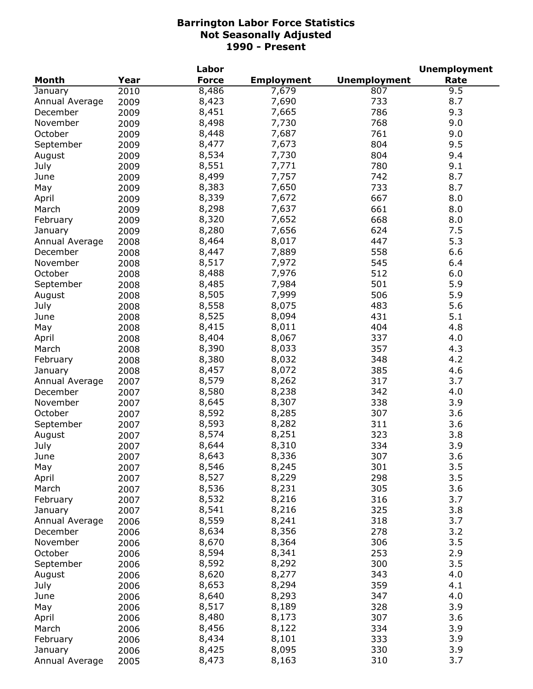|                |      | Labor        |                   |                     | <b>Unemployment</b> |
|----------------|------|--------------|-------------------|---------------------|---------------------|
| <b>Month</b>   | Year | <b>Force</b> | <b>Employment</b> | <b>Unemployment</b> | Rate                |
| January        | 2010 | 8,486        | 7,679             | 807                 | 9.5                 |
| Annual Average | 2009 | 8,423        | 7,690             | 733                 | 8.7                 |
| December       | 2009 | 8,451        | 7,665             | 786                 | 9.3                 |
| November       | 2009 | 8,498        | 7,730             | 768                 | 9.0                 |
| October        | 2009 | 8,448        | 7,687             | 761                 | 9.0                 |
| September      | 2009 | 8,477        | 7,673             | 804                 | 9.5                 |
| August         | 2009 | 8,534        | 7,730             | 804                 | 9.4                 |
| July           | 2009 | 8,551        | 7,771             | 780                 | 9.1                 |
| June           | 2009 | 8,499        | 7,757             | 742                 | 8.7                 |
| May            | 2009 | 8,383        | 7,650             | 733                 | 8.7                 |
| April          | 2009 | 8,339        | 7,672             | 667                 | 8.0                 |
| March          | 2009 | 8,298        | 7,637             | 661                 | 8.0                 |
|                |      | 8,320        | 7,652             | 668                 |                     |
| February       | 2009 |              |                   |                     | 8.0                 |
| January        | 2009 | 8,280        | 7,656             | 624                 | 7.5                 |
| Annual Average | 2008 | 8,464        | 8,017             | 447                 | 5.3                 |
| December       | 2008 | 8,447        | 7,889             | 558                 | 6.6                 |
| November       | 2008 | 8,517        | 7,972             | 545                 | 6.4                 |
| October        | 2008 | 8,488        | 7,976             | 512                 | 6.0                 |
| September      | 2008 | 8,485        | 7,984             | 501                 | 5.9                 |
| August         | 2008 | 8,505        | 7,999             | 506                 | 5.9                 |
| July           | 2008 | 8,558        | 8,075             | 483                 | 5.6                 |
| June           | 2008 | 8,525        | 8,094             | 431                 | 5.1                 |
| May            | 2008 | 8,415        | 8,011             | 404                 | 4.8                 |
| April          | 2008 | 8,404        | 8,067             | 337                 | 4.0                 |
| March          | 2008 | 8,390        | 8,033             | 357                 | 4.3                 |
| February       | 2008 | 8,380        | 8,032             | 348                 | 4.2                 |
| January        | 2008 | 8,457        | 8,072             | 385                 | 4.6                 |
| Annual Average | 2007 | 8,579        | 8,262             | 317                 | 3.7                 |
| December       | 2007 | 8,580        | 8,238             | 342                 | 4.0                 |
| November       | 2007 | 8,645        | 8,307             | 338                 | 3.9                 |
| October        | 2007 | 8,592        | 8,285             | 307                 | 3.6                 |
| September      | 2007 | 8,593        | 8,282             | 311                 | 3.6                 |
| August         | 2007 | 8,574        | 8,251             | 323                 | 3.8                 |
| July           | 2007 | 8,644        | 8,310             | 334                 | 3.9                 |
| June           | 2007 | 8,643        | 8,336             | 307                 | 3.6                 |
| May            | 2007 | 8,546        | 8,245             | 301                 | 3.5                 |
| April          | 2007 | 8,527        | 8,229             | 298                 | 3.5                 |
| March          | 2007 | 8,536        | 8,231             | 305                 | 3.6                 |
| February       |      | 8,532        | 8,216             | 316                 | 3.7                 |
|                | 2007 | 8,541        | 8,216             | 325                 | 3.8                 |
| January        | 2007 | 8,559        |                   |                     | 3.7                 |
| Annual Average | 2006 |              | 8,241<br>8,356    | 318                 |                     |
| December       | 2006 | 8,634        |                   | 278                 | 3.2                 |
| November       | 2006 | 8,670        | 8,364             | 306                 | 3.5                 |
| October        | 2006 | 8,594        | 8,341             | 253                 | 2.9                 |
| September      | 2006 | 8,592        | 8,292             | 300                 | 3.5                 |
| August         | 2006 | 8,620        | 8,277             | 343                 | 4.0                 |
| July           | 2006 | 8,653        | 8,294             | 359                 | 4.1                 |
| June           | 2006 | 8,640        | 8,293             | 347                 | 4.0                 |
| May            | 2006 | 8,517        | 8,189             | 328                 | 3.9                 |
| April          | 2006 | 8,480        | 8,173             | 307                 | 3.6                 |
| March          | 2006 | 8,456        | 8,122             | 334                 | 3.9                 |
| February       | 2006 | 8,434        | 8,101             | 333                 | 3.9                 |
| January        | 2006 | 8,425        | 8,095             | 330                 | 3.9                 |
| Annual Average | 2005 | 8,473        | 8,163             | 310                 | 3.7                 |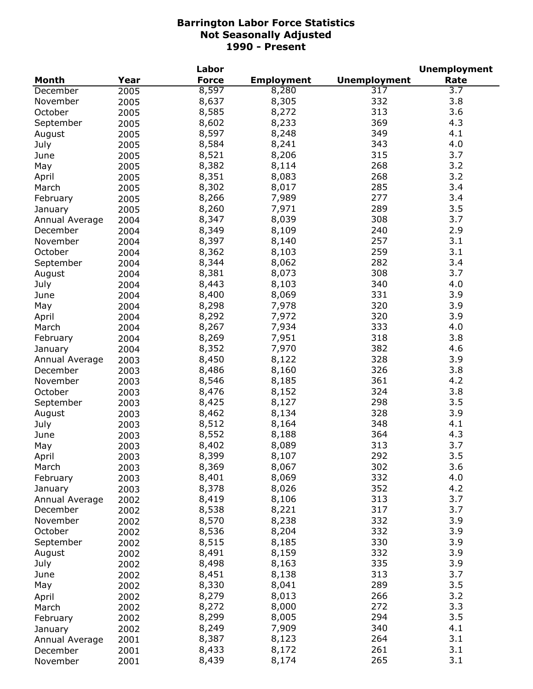|                |      | Labor        |                   |                     | <b>Unemployment</b> |
|----------------|------|--------------|-------------------|---------------------|---------------------|
| <b>Month</b>   | Year | <b>Force</b> | <b>Employment</b> | <b>Unemployment</b> | Rate                |
| December       | 2005 | 8,597        | 8,280             | 317                 | 3.7                 |
| November       | 2005 | 8,637        | 8,305             | 332                 | 3.8                 |
| October        | 2005 | 8,585        | 8,272             | 313                 | 3.6                 |
| September      | 2005 | 8,602        | 8,233             | 369                 | 4.3                 |
| August         | 2005 | 8,597        | 8,248             | 349                 | 4.1                 |
| July           | 2005 | 8,584        | 8,241             | 343                 | 4.0                 |
| June           | 2005 | 8,521        | 8,206             | 315                 | 3.7                 |
| May            | 2005 | 8,382        | 8,114             | 268                 | 3.2                 |
|                |      | 8,351        | 8,083             | 268                 | 3.2                 |
| April          | 2005 |              |                   | 285                 | 3.4                 |
| March          | 2005 | 8,302        | 8,017             |                     |                     |
| February       | 2005 | 8,266        | 7,989             | 277                 | 3.4                 |
| January        | 2005 | 8,260        | 7,971             | 289                 | 3.5                 |
| Annual Average | 2004 | 8,347        | 8,039             | 308                 | 3.7                 |
| December       | 2004 | 8,349        | 8,109             | 240                 | 2.9                 |
| November       | 2004 | 8,397        | 8,140             | 257                 | 3.1                 |
| October        | 2004 | 8,362        | 8,103             | 259                 | 3.1                 |
| September      | 2004 | 8,344        | 8,062             | 282                 | 3.4                 |
| August         | 2004 | 8,381        | 8,073             | 308                 | 3.7                 |
| July           | 2004 | 8,443        | 8,103             | 340                 | 4.0                 |
| June           | 2004 | 8,400        | 8,069             | 331                 | 3.9                 |
| May            | 2004 | 8,298        | 7,978             | 320                 | 3.9                 |
| April          | 2004 | 8,292        | 7,972             | 320                 | 3.9                 |
| March          | 2004 | 8,267        | 7,934             | 333                 | 4.0                 |
| February       | 2004 | 8,269        | 7,951             | 318                 | 3.8                 |
| January        | 2004 | 8,352        | 7,970             | 382                 | 4.6                 |
| Annual Average | 2003 | 8,450        | 8,122             | 328                 | 3.9                 |
| December       | 2003 | 8,486        | 8,160             | 326                 | 3.8                 |
| November       | 2003 | 8,546        | 8,185             | 361                 | 4.2                 |
| October        | 2003 | 8,476        | 8,152             | 324                 | 3.8                 |
| September      | 2003 | 8,425        | 8,127             | 298                 | 3.5                 |
| August         | 2003 | 8,462        | 8,134             | 328                 | 3.9                 |
| July           | 2003 | 8,512        | 8,164             | 348                 | 4.1                 |
| June           | 2003 | 8,552        | 8,188             | 364                 | 4.3                 |
| May            | 2003 | 8,402        | 8,089             | 313                 | 3.7                 |
| April          | 2003 | 8,399        | 8,107             | 292                 | 3.5                 |
| March          | 2003 | 8,369        | 8,067             | 302                 | 3.6                 |
| February       | 2003 | 8,401        | 8,069             | 332                 | 4.0                 |
| January        | 2003 | 8,378        | 8,026             | 352                 | 4.2                 |
| Annual Average | 2002 | 8,419        | 8,106             | 313                 | 3.7                 |
| December       | 2002 | 8,538        | 8,221             | 317                 | 3.7                 |
| November       |      | 8,570        | 8,238             | 332                 | 3.9                 |
| October        | 2002 | 8,536        | 8,204             | 332                 | 3.9                 |
|                | 2002 |              | 8,185             |                     |                     |
| September      | 2002 | 8,515        |                   | 330                 | 3.9                 |
| August         | 2002 | 8,491        | 8,159             | 332                 | 3.9                 |
| July           | 2002 | 8,498        | 8,163             | 335                 | 3.9                 |
| June           | 2002 | 8,451        | 8,138             | 313                 | 3.7                 |
| May            | 2002 | 8,330        | 8,041             | 289                 | 3.5                 |
| April          | 2002 | 8,279        | 8,013             | 266                 | 3.2                 |
| March          | 2002 | 8,272        | 8,000             | 272                 | 3.3                 |
| February       | 2002 | 8,299        | 8,005             | 294                 | 3.5                 |
| January        | 2002 | 8,249        | 7,909             | 340                 | 4.1                 |
| Annual Average | 2001 | 8,387        | 8,123             | 264                 | 3.1                 |
| December       | 2001 | 8,433        | 8,172             | 261                 | 3.1                 |
| November       | 2001 | 8,439        | 8,174             | 265                 | 3.1                 |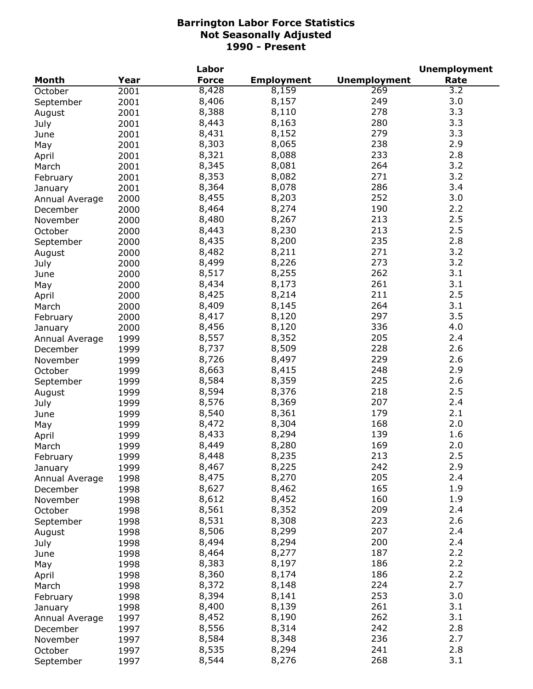|                |      | <b>Labor</b> |                   |                     | <b>Unemployment</b> |
|----------------|------|--------------|-------------------|---------------------|---------------------|
| <b>Month</b>   | Year | <b>Force</b> | <b>Employment</b> | <b>Unemployment</b> | Rate                |
| October        | 2001 | 8,428        | 8,159             | 269                 | $\overline{3.2}$    |
| September      | 2001 | 8,406        | 8,157             | 249                 | 3.0                 |
| August         | 2001 | 8,388        | 8,110             | 278                 | 3.3                 |
| July           | 2001 | 8,443        | 8,163             | 280                 | 3.3                 |
| June           | 2001 | 8,431        | 8,152             | 279                 | 3.3                 |
| May            | 2001 | 8,303        | 8,065             | 238                 | 2.9                 |
| April          | 2001 | 8,321        | 8,088             | 233                 | 2.8                 |
| March          | 2001 | 8,345        | 8,081             | 264                 | 3.2                 |
| February       | 2001 | 8,353        | 8,082             | 271                 | 3.2                 |
| January        | 2001 | 8,364        | 8,078             | 286                 | 3.4                 |
| Annual Average | 2000 | 8,455        | 8,203             | 252                 | 3.0                 |
| December       | 2000 | 8,464        | 8,274             | 190                 | 2.2                 |
|                |      | 8,480        | 8,267             | 213                 | 2.5                 |
| November       | 2000 |              | 8,230             | 213                 | 2.5                 |
| October        | 2000 | 8,443        |                   | 235                 | 2.8                 |
| September      | 2000 | 8,435        | 8,200             |                     |                     |
| August         | 2000 | 8,482        | 8,211             | 271                 | 3.2                 |
| July           | 2000 | 8,499        | 8,226             | 273                 | 3.2                 |
| June           | 2000 | 8,517        | 8,255             | 262                 | 3.1                 |
| May            | 2000 | 8,434        | 8,173             | 261                 | 3.1                 |
| April          | 2000 | 8,425        | 8,214             | 211                 | 2.5                 |
| March          | 2000 | 8,409        | 8,145             | 264                 | 3.1                 |
| February       | 2000 | 8,417        | 8,120             | 297                 | 3.5                 |
| January        | 2000 | 8,456        | 8,120             | 336                 | 4.0                 |
| Annual Average | 1999 | 8,557        | 8,352             | 205                 | 2.4                 |
| December       | 1999 | 8,737        | 8,509             | 228                 | 2.6                 |
| November       | 1999 | 8,726        | 8,497             | 229                 | 2.6                 |
| October        | 1999 | 8,663        | 8,415             | 248                 | 2.9                 |
| September      | 1999 | 8,584        | 8,359             | 225                 | 2.6                 |
| August         | 1999 | 8,594        | 8,376             | 218                 | 2.5                 |
| July           | 1999 | 8,576        | 8,369             | 207                 | 2.4                 |
| June           | 1999 | 8,540        | 8,361             | 179                 | 2.1                 |
| May            | 1999 | 8,472        | 8,304             | 168                 | 2.0                 |
| April          | 1999 | 8,433        | 8,294             | 139                 | 1.6                 |
| March          | 1999 | 8,449        | 8,280             | 169                 | 2.0                 |
| February       | 1999 | 8,448        | 8,235             | 213                 | 2.5                 |
| January        | 1999 | 8,467        | 8,225             | 242                 | 2.9                 |
| Annual Average | 1998 | 8,475        | 8,270             | 205                 | 2.4                 |
| December       | 1998 | 8,627        | 8,462             | 165                 | 1.9                 |
| November       | 1998 | 8,612        | 8,452             | 160                 | 1.9                 |
| October        | 1998 | 8,561        | 8,352             | 209                 | 2.4                 |
| September      | 1998 | 8,531        | 8,308             | 223                 | 2.6                 |
| August         | 1998 | 8,506        | 8,299             | 207                 | 2.4                 |
| July           | 1998 | 8,494        | 8,294             | 200                 | 2.4                 |
| June           | 1998 | 8,464        | 8,277             | 187                 | 2.2                 |
| May            | 1998 | 8,383        | 8,197             | 186                 | 2.2                 |
|                |      | 8,360        | 8,174             | 186                 | 2.2                 |
| April          | 1998 | 8,372        | 8,148             | 224                 | 2.7                 |
| March          | 1998 |              |                   |                     | 3.0                 |
| February       | 1998 | 8,394        | 8,141             | 253                 |                     |
| January        | 1998 | 8,400        | 8,139             | 261                 | 3.1                 |
| Annual Average | 1997 | 8,452        | 8,190             | 262                 | 3.1                 |
| December       | 1997 | 8,556        | 8,314             | 242                 | 2.8                 |
| November       | 1997 | 8,584        | 8,348             | 236                 | 2.7                 |
| October        | 1997 | 8,535        | 8,294             | 241                 | 2.8                 |
| September      | 1997 | 8,544        | 8,276             | 268                 | 3.1                 |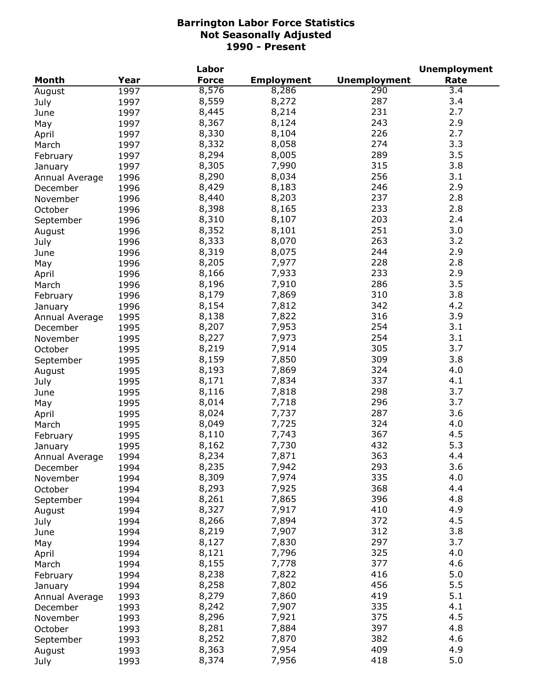|                |      | Labor        |                   |                     | <b>Unemployment</b> |
|----------------|------|--------------|-------------------|---------------------|---------------------|
| <b>Month</b>   | Year | <b>Force</b> | <b>Employment</b> | <b>Unemployment</b> | Rate                |
| August         | 1997 | 8,576        | 8,286             | $\overline{290}$    | 3.4                 |
| July           | 1997 | 8,559        | 8,272             | 287                 | 3.4                 |
| June           | 1997 | 8,445        | 8,214             | 231                 | 2.7                 |
| May            | 1997 | 8,367        | 8,124             | 243                 | 2.9                 |
| April          | 1997 | 8,330        | 8,104             | 226                 | 2.7                 |
| March          | 1997 | 8,332        | 8,058             | 274                 | 3.3                 |
| February       | 1997 | 8,294        | 8,005             | 289                 | 3.5                 |
|                | 1997 | 8,305        | 7,990             | 315                 | 3.8                 |
| January        |      | 8,290        | 8,034             | 256                 | 3.1                 |
| Annual Average | 1996 | 8,429        | 8,183             | 246                 | 2.9                 |
| December       | 1996 |              |                   |                     |                     |
| November       | 1996 | 8,440        | 8,203             | 237                 | 2.8                 |
| October        | 1996 | 8,398        | 8,165             | 233                 | 2.8                 |
| September      | 1996 | 8,310        | 8,107             | 203                 | 2.4                 |
| August         | 1996 | 8,352        | 8,101             | 251                 | 3.0                 |
| July           | 1996 | 8,333        | 8,070             | 263                 | 3.2                 |
| June           | 1996 | 8,319        | 8,075             | 244                 | 2.9                 |
| May            | 1996 | 8,205        | 7,977             | 228                 | 2.8                 |
| April          | 1996 | 8,166        | 7,933             | 233                 | 2.9                 |
| March          | 1996 | 8,196        | 7,910             | 286                 | 3.5                 |
| February       | 1996 | 8,179        | 7,869             | 310                 | 3.8                 |
| January        | 1996 | 8,154        | 7,812             | 342                 | 4.2                 |
| Annual Average | 1995 | 8,138        | 7,822             | 316                 | 3.9                 |
| December       | 1995 | 8,207        | 7,953             | 254                 | 3.1                 |
| November       | 1995 | 8,227        | 7,973             | 254                 | 3.1                 |
| October        | 1995 | 8,219        | 7,914             | 305                 | 3.7                 |
| September      | 1995 | 8,159        | 7,850             | 309                 | 3.8                 |
| August         | 1995 | 8,193        | 7,869             | 324                 | 4.0                 |
| July           | 1995 | 8,171        | 7,834             | 337                 | 4.1                 |
| June           | 1995 | 8,116        | 7,818             | 298                 | 3.7                 |
| May            | 1995 | 8,014        | 7,718             | 296                 | 3.7                 |
| April          | 1995 | 8,024        | 7,737             | 287                 | 3.6                 |
| March          | 1995 | 8,049        | 7,725             | 324                 | 4.0                 |
| February       | 1995 | 8,110        | 7,743             | 367                 | 4.5                 |
|                | 1995 | 8,162        | 7,730             | 432                 | 5.3                 |
| January        |      |              |                   |                     |                     |
| Annual Average | 1994 | 8,234        | 7,871             | 363<br>293          | 4.4<br>3.6          |
| December       | 1994 | 8,235        | 7,942             |                     |                     |
| November       | 1994 | 8,309        | 7,974             | 335                 | 4.0                 |
| October        | 1994 | 8,293        | 7,925             | 368                 | 4.4                 |
| September      | 1994 | 8,261        | 7,865             | 396                 | 4.8                 |
| August         | 1994 | 8,327        | 7,917             | 410                 | 4.9                 |
| July           | 1994 | 8,266        | 7,894             | 372                 | 4.5                 |
| June           | 1994 | 8,219        | 7,907             | 312                 | 3.8                 |
| May            | 1994 | 8,127        | 7,830             | 297                 | 3.7                 |
| April          | 1994 | 8,121        | 7,796             | 325                 | 4.0                 |
| March          | 1994 | 8,155        | 7,778             | 377                 | 4.6                 |
| February       | 1994 | 8,238        | 7,822             | 416                 | 5.0                 |
| January        | 1994 | 8,258        | 7,802             | 456                 | 5.5                 |
| Annual Average | 1993 | 8,279        | 7,860             | 419                 | 5.1                 |
| December       | 1993 | 8,242        | 7,907             | 335                 | 4.1                 |
| November       | 1993 | 8,296        | 7,921             | 375                 | 4.5                 |
| October        | 1993 | 8,281        | 7,884             | 397                 | 4.8                 |
| September      | 1993 | 8,252        | 7,870             | 382                 | 4.6                 |
| August         | 1993 | 8,363        | 7,954             | 409                 | 4.9                 |
| July           | 1993 | 8,374        | 7,956             | 418                 | 5.0                 |